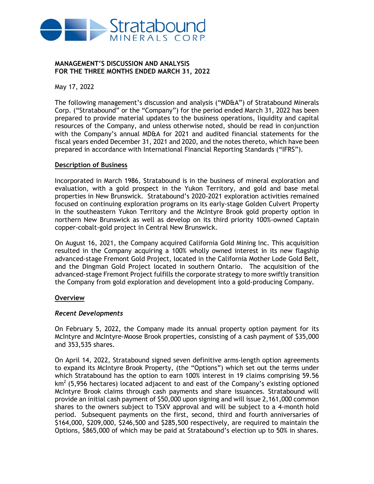

#### **MANAGEMENT'S DISCUSSION AND ANALYSIS FOR THE THREE MONTHS ENDED MARCH 31, 2022**

May 17, 2022

The following management's discussion and analysis ("MD&A") of Stratabound Minerals Corp. ("Stratabound" or the "Company") for the period ended March 31, 2022 has been prepared to provide material updates to the business operations, liquidity and capital resources of the Company, and unless otherwise noted, should be read in conjunction with the Company's annual MD&A for 2021 and audited financial statements for the fiscal years ended December 31, 2021 and 2020, and the notes thereto, which have been prepared in accordance with International Financial Reporting Standards ("IFRS").

### **Description of Business**

Incorporated in March 1986, Stratabound is in the business of mineral exploration and evaluation, with a gold prospect in the Yukon Territory, and gold and base metal properties in New Brunswick. Stratabound's 2020-2021 exploration activities remained focused on continuing exploration programs on its early-stage Golden Culvert Property in the southeastern Yukon Territory and the McIntyre Brook gold property option in northern New Brunswick as well as develop on its third priority 100%-owned Captain copper-cobalt-gold project in Central New Brunswick.

On August 16, 2021, the Company acquired California Gold Mining Inc. This acquisition resulted in the Company acquiring a 100% wholly owned interest in its new flagship advanced-stage Fremont Gold Project, located in the California Mother Lode Gold Belt, and the Dingman Gold Project located in southern Ontario. The acquisition of the advanced-stage Fremont Project fulfills the corporate strategy to more swiftly transition the Company from gold exploration and development into a gold-producing Company.

#### **Overview**

#### *Recent Developments*

On February 5, 2022, the Company made its annual property option payment for its McIntyre and McIntyre-Moose Brook properties, consisting of a cash payment of \$35,000 and 353,535 shares.

On April 14, 2022, Stratabound signed seven definitive arms-length option agreements to expand its McIntyre Brook Property, (the "Options") which set out the terms under which Stratabound has the option to earn 100% interest in 19 claims comprising 59.56  $km<sup>2</sup>$  (5,956 hectares) located adjacent to and east of the Company's existing optioned McIntyre Brook claims through cash payments and share issuances. Stratabound will provide an initial cash payment of \$50,000 upon signing and will issue 2,161,000 common shares to the owners subject to TSXV approval and will be subject to a 4-month hold period. Subsequent payments on the first, second, third and fourth anniversaries of \$164,000, \$209,000, \$246,500 and \$285,500 respectively, are required to maintain the Options, \$865,000 of which may be paid at Stratabound's election up to 50% in shares.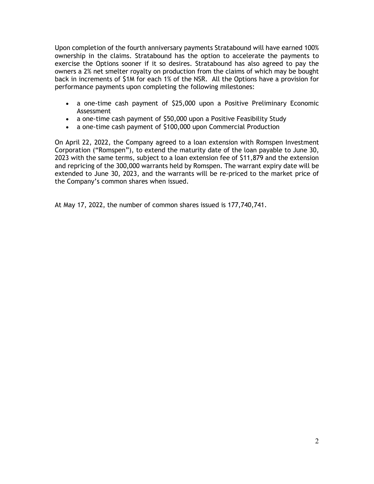Upon completion of the fourth anniversary payments Stratabound will have earned 100% ownership in the claims. Stratabound has the option to accelerate the payments to exercise the Options sooner if it so desires. Stratabound has also agreed to pay the owners a 2% net smelter royalty on production from the claims of which may be bought back in increments of \$1M for each 1% of the NSR. All the Options have a provision for performance payments upon completing the following milestones:

- a one-time cash payment of \$25,000 upon a Positive Preliminary Economic Assessment
- a one-time cash payment of \$50,000 upon a Positive Feasibility Study
- a one-time cash payment of \$100,000 upon Commercial Production

On April 22, 2022, the Company agreed to a loan extension with Romspen Investment Corporation ("Romspen"), to extend the maturity date of the loan payable to June 30, 2023 with the same terms, subject to a loan extension fee of \$11,879 and the extension and repricing of the 300,000 warrants held by Romspen. The warrant expiry date will be extended to June 30, 2023, and the warrants will be re-priced to the market price of the Company's common shares when issued.

At May 17, 2022, the number of common shares issued is 177,740,741.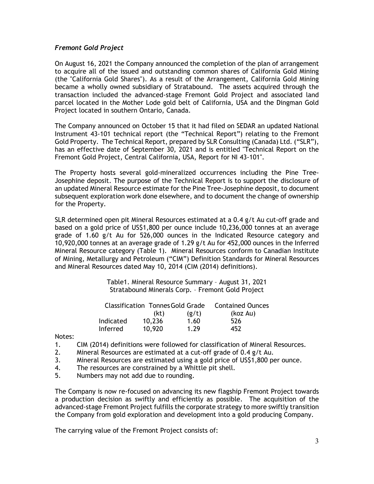### *Fremont Gold Project*

On August 16, 2021 the Company announced the completion of the plan of arrangement to acquire all of the issued and outstanding common shares of California Gold Mining (the "California Gold Shares"). As a result of the Arrangement, California Gold Mining became a wholly owned subsidiary of Stratabound. The assets acquired through the transaction included the advanced-stage Fremont Gold Project and associated land parcel located in the Mother Lode gold belt of California, USA and the Dingman Gold Project located in southern Ontario, Canada.

The Company announced on October 15 that it had filed on SEDAR an updated National Instrument 43-101 technical report (the "Technical Report") relating to the Fremont Gold Property. The Technical Report, prepared by SLR Consulting (Canada) Ltd. ("SLR"), has an effective date of September 30, 2021 and is entitled "Technical Report on the Fremont Gold Project, Central California, USA, Report for NI 43-101".

The Property hosts several gold-mineralized occurrences including the Pine Tree-Josephine deposit. The purpose of the Technical Report is to support the disclosure of an updated Mineral Resource estimate for the Pine Tree-Josephine deposit, to document subsequent exploration work done elsewhere, and to document the change of ownership for the Property.

SLR determined open pit Mineral Resources estimated at a 0.4 g/t Au cut-off grade and based on a gold price of US\$1,800 per ounce include 10,236,000 tonnes at an average grade of 1.60 g/t Au for 526,000 ounces in the Indicated Resource category and 10,920,000 tonnes at an average grade of 1.29 g/t Au for 452,000 ounces in the Inferred Mineral Resource category (Table 1). Mineral Resources conform to Canadian Institute of Mining, Metallurgy and Petroleum ("CIM") Definition Standards for Mineral Resources and Mineral Resources dated May 10, 2014 (CIM (2014) definitions).

> Table1. Mineral Resource Summary – August 31, 2021 Stratabound Minerals Corp. – Fremont Gold Project

| Classification Tonnes Gold Grade |        |       | <b>Contained Ounces</b> |
|----------------------------------|--------|-------|-------------------------|
|                                  | (kt)   | (g/t) | (koz Au)                |
| Indicated                        | 10,236 | 1.60  | 526                     |
| Inferred                         | 10,920 | 1.29  | 452                     |

Notes:

- 1. CIM (2014) definitions were followed for classification of Mineral Resources.
- 2. Mineral Resources are estimated at a cut-off grade of 0.4 g/t Au.
- 3. Mineral Resources are estimated using a gold price of US\$1,800 per ounce.
- 4. The resources are constrained by a Whittle pit shell.
- 5. Numbers may not add due to rounding.

The Company is now re-focused on advancing its new flagship Fremont Project towards a production decision as swiftly and efficiently as possible. The acquisition of the advanced-stage Fremont Project fulfills the corporate strategy to more swiftly transition the Company from gold exploration and development into a gold producing Company.

The carrying value of the Fremont Project consists of: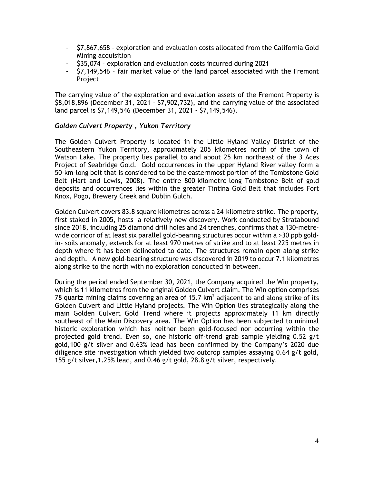- \$7,867,658 exploration and evaluation costs allocated from the California Gold Mining acquisition
- \$35,074 exploration and evaluation costs incurred during 2021
- \$7,149,546 fair market value of the land parcel associated with the Fremont Project

The carrying value of the exploration and evaluation assets of the Fremont Property is \$8,018,896 (December 31, 2021 - \$7,902,732), and the carrying value of the associated land parcel is \$7,149,546 (December 31, 2021 - \$7,149,546).

### *Golden Culvert Property , Yukon Territory*

The Golden Culvert Property is located in the Little Hyland Valley District of the Southeastern Yukon Territory, approximately 205 kilometres north of the town of Watson Lake. The property lies parallel to and about 25 km northeast of the 3 Aces Project of Seabridge Gold. Gold occurrences in the upper Hyland River valley form a 50-km-long belt that is considered to be the easternmost portion of the Tombstone Gold Belt (Hart and Lewis, 2008). The entire 800-kilometre-long Tombstone Belt of gold deposits and occurrences lies within the greater Tintina Gold Belt that includes Fort Knox, Pogo, Brewery Creek and Dublin Gulch.

Golden Culvert covers 83.8 square kilometres across a 24-kilometre strike. The property, first staked in 2005, hosts a relatively new discovery. Work conducted by Stratabound since 2018, including 25 diamond drill holes and 24 trenches, confirms that a 130-metrewide corridor of at least six parallel gold-bearing structures occur within a >30 ppb goldin- soils anomaly, extends for at least 970 metres of strike and to at least 225 metres in depth where it has been delineated to date. The structures remain open along strike and depth. A new gold-bearing structure was discovered in 2019 to occur 7.1 kilometres along strike to the north with no exploration conducted in between.

During the period ended September 30, 2021, the Company acquired the Win property, which is 11 kilometres from the original Golden Culvert claim. The Win option comprises 78 quartz mining claims covering an area of 15.7  $km^2$  adjacent to and along strike of its Golden Culvert and Little Hyland projects. The Win Option lies strategically along the main Golden Culvert Gold Trend where it projects approximately 11 km directly southeast of the Main Discovery area. The Win Option has been subjected to minimal historic exploration which has neither been gold-focused nor occurring within the projected gold trend. Even so, one historic off-trend grab sample yielding 0.52 g/t gold,100 g/t silver and 0.63% lead has been confirmed by the Company's 2020 due diligence site investigation which yielded two outcrop samples assaying 0.64 g/t gold, 155 g/t silver,1.25% lead, and 0.46 g/t gold, 28.8 g/t silver, respectively.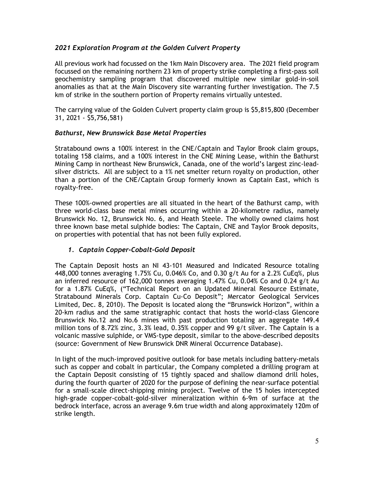# *2021 Exploration Program at the Golden Culvert Property*

All previous work had focussed on the 1km Main Discovery area. The 2021 field program focussed on the remaining northern 23 km of property strike completing a first-pass soil geochemistry sampling program that discovered multiple new similar gold-in-soil anomalies as that at the Main Discovery site warranting further investigation. The 7.5 km of strike in the southern portion of Property remains virtually untested.

The carrying value of the Golden Culvert property claim group is \$5,815,800 (December 31, 2021 - \$5,756,581)

# *Bathurst, New Brunswick Base Metal Properties*

Stratabound owns a 100% interest in the CNE/Captain and Taylor Brook claim groups, totaling 158 claims, and a 100% interest in the CNE Mining Lease, within the Bathurst Mining Camp in northeast New Brunswick, Canada, one of the world's largest zinc-leadsilver districts. All are subject to a 1% net smelter return royalty on production, other than a portion of the CNE/Captain Group formerly known as Captain East, which is royalty-free.

These 100%-owned properties are all situated in the heart of the Bathurst camp, with three world-class base metal mines occurring within a 20-kilometre radius, namely Brunswick No. 12, Brunswick No. 6, and Heath Steele. The wholly owned claims host three known base metal sulphide bodies: The Captain, CNE and Taylor Brook deposits, on properties with potential that has not been fully explored.

# *1. Captain Copper-Cobalt-Gold Deposit*

The Captain Deposit hosts an NI 43-101 Measured and Indicated Resource totaling 448,000 tonnes averaging 1.75% Cu, 0.046% Co, and 0.30 g/t Au for a 2.2% CuEq%, plus an inferred resource of 162,000 tonnes averaging 1.47% Cu, 0.04% Co and 0.24 g/t Au for a 1.87% CuEq%, ("Technical Report on an Updated Mineral Resource Estimate, Stratabound Minerals Corp. Captain Cu-Co Deposit"; Mercator Geological Services Limited, Dec. 8, 2010). The Deposit is located along the "Brunswick Horizon", within a 20-km radius and the same stratigraphic contact that hosts the world-class Glencore Brunswick No.12 and No.6 mines with past production totaling an aggregate 149.4 million tons of 8.72% zinc, 3.3% lead, 0.35% copper and 99 g/t silver. The Captain is a volcanic massive sulphide, or VMS-type deposit, similar to the above-described deposits (source: Government of New Brunswick DNR Mineral Occurrence Database).

In light of the much-improved positive outlook for base metals including battery-metals such as copper and cobalt in particular, the Company completed a drilling program at the Captain Deposit consisting of 15 tightly spaced and shallow diamond drill holes, during the fourth quarter of 2020 for the purpose of defining the near-surface potential for a small-scale direct-shipping mining project. Twelve of the 15 holes intercepted high-grade copper-cobalt-gold-silver mineralization within 6-9m of surface at the bedrock interface, across an average 9.6m true width and along approximately 120m of strike length.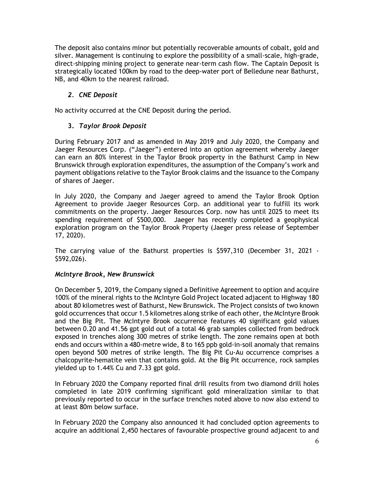The deposit also contains minor but potentially recoverable amounts of cobalt, gold and silver. Management is continuing to explore the possibility of a small-scale, high-grade, direct-shipping mining project to generate near-term cash flow. The Captain Deposit is strategically located 100km by road to the deep-water port of Belledune near Bathurst, NB, and 40km to the nearest railroad.

# *2. CNE Deposit*

No activity occurred at the CNE Deposit during the period.

# **3.** *Taylor Brook Deposit*

During February 2017 and as amended in May 2019 and July 2020, the Company and Jaeger Resources Corp. ("Jaeger") entered into an option agreement whereby Jaeger can earn an 80% interest in the Taylor Brook property in the Bathurst Camp in New Brunswick through exploration expenditures, the assumption of the Company's work and payment obligations relative to the Taylor Brook claims and the issuance to the Company of shares of Jaeger.

In July 2020, the Company and Jaeger agreed to amend the Taylor Brook Option Agreement to provide Jaeger Resources Corp. an additional year to fulfill its work commitments on the property. Jaeger Resources Corp. now has until 2025 to meet its spending requirement of \$500,000. Jaeger has recently completed a geophysical exploration program on the Taylor Brook Property (Jaeger press release of September 17, 2020).

The carrying value of the Bathurst properties is \$597,310 (December 31, 2021 - \$592,026).

# *McIntyre Brook, New Brunswick*

On December 5, 2019, the Company signed a Definitive Agreement to option and acquire 100% of the mineral rights to the McIntyre Gold Project located adjacent to Highway 180 about 80 kilometres west of Bathurst, New Brunswick. The Project consists of two known gold occurrences that occur 1.5 kilometres along strike of each other, the McIntyre Brook and the Big Pit. The McIntyre Brook occurrence features 40 significant gold values between 0.20 and 41.56 gpt gold out of a total 46 grab samples collected from bedrock exposed in trenches along 300 metres of strike length. The zone remains open at both ends and occurs within a 480-metre wide, 8 to 165 ppb gold-in-soil anomaly that remains open beyond 500 metres of strike length. The Big Pit Cu-Au occurrence comprises a chalcopyrite-hematite vein that contains gold. At the Big Pit occurrence, rock samples yielded up to 1.44% Cu and 7.33 gpt gold.

In February 2020 the Company reported final drill results from two diamond drill holes completed in late 2019 confirming significant gold mineralization similar to that previously reported to occur in the surface trenches noted above to now also extend to at least 80m below surface.

In February 2020 the Company also announced it had concluded option agreements to acquire an additional 2,450 hectares of favourable prospective ground adjacent to and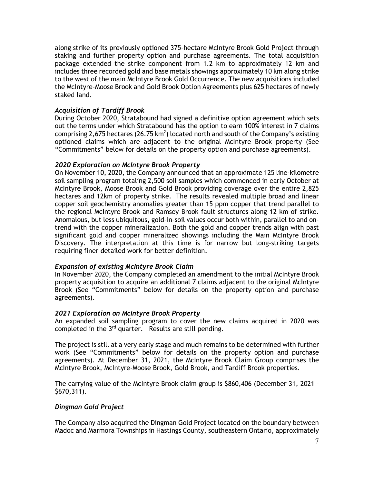along strike of its previously optioned 375-hectare McIntyre Brook Gold Project through staking and further property option and purchase agreements. The total acquisition package extended the strike component from 1.2 km to approximately 12 km and includes three recorded gold and base metals showings approximately 10 km along strike to the west of the main McIntyre Brook Gold Occurrence. The new acquisitions included the McIntyre-Moose Brook and Gold Brook Option Agreements plus 625 hectares of newly staked land.

# *Acquisition of Tardiff Brook*

During October 2020, Stratabound had signed a definitive option agreement which sets out the terms under which Stratabound has the option to earn 100% interest in 7 claims comprising 2,675 hectares (26.75 km<sup>2</sup>) located north and south of the Company's existing optioned claims which are adjacent to the original McIntyre Brook property (See "Commitments" below for details on the property option and purchase agreements).

### *2020 Exploration on McIntyre Brook Property*

On November 10, 2020, the Company announced that an approximate 125 line-kilometre soil sampling program totaling 2,500 soil samples which commenced in early October at McIntyre Brook, Moose Brook and Gold Brook providing coverage over the entire 2,825 hectares and 12km of property strike. The results revealed multiple broad and linear copper soil geochemistry anomalies greater than 15 ppm copper that trend parallel to the regional McIntyre Brook and Ramsey Brook fault structures along 12 km of strike. Anomalous, but less ubiquitous, gold-in-soil values occur both within, parallel to and ontrend with the copper mineralization. Both the gold and copper trends align with past significant gold and copper mineralized showings including the Main McIntyre Brook Discovery. The interpretation at this time is for narrow but long-striking targets requiring finer detailed work for better definition.

# *Expansion of existing McIntyre Brook Claim*

In November 2020, the Company completed an amendment to the initial McIntyre Brook property acquisition to acquire an additional 7 claims adjacent to the original McIntyre Brook (See "Commitments" below for details on the property option and purchase agreements).

#### *2021 Exploration on McIntyre Brook Property*

An expanded soil sampling program to cover the new claims acquired in 2020 was completed in the  $3<sup>rd</sup>$  quarter. Results are still pending.

The project is still at a very early stage and much remains to be determined with further work (See "Commitments" below for details on the property option and purchase agreements). At December 31, 2021, the McIntyre Brook Claim Group comprises the McIntyre Brook, McIntyre-Moose Brook, Gold Brook, and Tardiff Brook properties.

The carrying value of the McIntyre Brook claim group is \$860,406 (December 31, 2021 – \$670,311).

#### *Dingman Gold Project*

The Company also acquired the Dingman Gold Project located on the boundary between Madoc and Marmora Townships in Hastings County, southeastern Ontario, approximately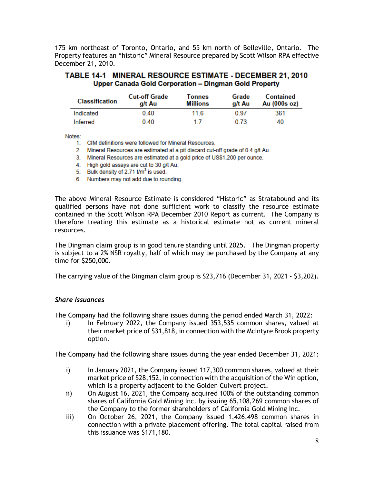175 km northeast of Toronto, Ontario, and 55 km north of Belleville, Ontario. The Property features an "historic" Mineral Resource prepared by Scott Wilson RPA effective December 21, 2010.

### TABLE 14-1 MINERAL RESOURCE ESTIMATE - DECEMBER 21, 2010 Upper Canada Gold Corporation - Dingman Gold Property

| <b>Classification</b> | <b>Cut-off Grade</b><br>a/t Au | Tonnes<br><b>Millions</b> | Grade<br>a/t Au | Contained<br>Au (000s oz) |
|-----------------------|--------------------------------|---------------------------|-----------------|---------------------------|
| Indicated             | 0.40                           | 11.6                      | 0.97            | 361                       |
| Inferred              | 0.40                           | 17                        | 0.73            | 40                        |

Notes:

1. CIM definitions were followed for Mineral Resources.

2. Mineral Resources are estimated at a pit discard cut-off grade of 0.4 g/t Au.

3. Mineral Resources are estimated at a gold price of US\$1,200 per ounce.

- 4. High gold assays are cut to 30 g/t Au.
- 5. Bulk density of 2.71 t/m<sup>3</sup> is used.
- 6. Numbers may not add due to rounding.

The above Mineral Resource Estimate is considered "Historic" as Stratabound and its qualified persons have not done sufficient work to classify the resource estimate contained in the Scott Wilson RPA December 2010 Report as current. The Company is therefore treating this estimate as a historical estimate not as current mineral resources.

The Dingman claim group is in good tenure standing until 2025. The Dingman property is subject to a 2% NSR royalty, half of which may be purchased by the Company at any time for \$250,000.

The carrying value of the Dingman claim group is \$23,716 (December 31, 2021 - \$3,202).

# *Share Issuances*

The Company had the following share issues during the period ended March 31, 2022:

i) In February 2022, the Company issued 353,535 common shares, valued at their market price of \$31,818, in connection with the McIntyre Brook property option.

The Company had the following share issues during the year ended December 31, 2021:

- i) In January 2021, the Company issued 117,300 common shares, valued at their market price of \$28,152, in connection with the acquisition of the Win option, which is a property adjacent to the Golden Culvert project.
- ii) On August 16, 2021, the Company acquired 100% of the outstanding common shares of California Gold Mining Inc. by issuing 65,108,269 common shares of the Company to the former shareholders of California Gold Mining Inc.
- iii) On October 26, 2021, the Company issued 1,426,498 common shares in connection with a private placement offering. The total capital raised from this issuance was \$171,180.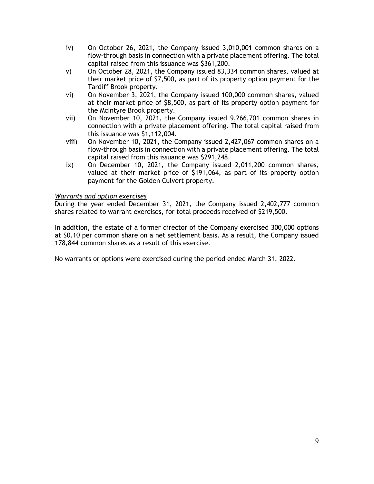- iv) On October 26, 2021, the Company issued 3,010,001 common shares on a flow-through basis in connection with a private placement offering. The total capital raised from this issuance was \$361,200.
- v) On October 28, 2021, the Company issued 83,334 common shares, valued at their market price of \$7,500, as part of its property option payment for the Tardiff Brook property.
- vi) On November 3, 2021, the Company issued 100,000 common shares, valued at their market price of \$8,500, as part of its property option payment for the McIntyre Brook property.
- vii) On November 10, 2021, the Company issued 9,266,701 common shares in connection with a private placement offering. The total capital raised from this issuance was \$1,112,004.
- viii) On November 10, 2021, the Company issued 2,427,067 common shares on a flow-through basis in connection with a private placement offering. The total capital raised from this issuance was \$291,248.
- ix) On December 10, 2021, the Company issued 2,011,200 common shares, valued at their market price of \$191,064, as part of its property option payment for the Golden Culvert property.

# *Warrants and option exercises*

During the year ended December 31, 2021, the Company issued 2,402,777 common shares related to warrant exercises, for total proceeds received of \$219,500.

In addition, the estate of a former director of the Company exercised 300,000 options at \$0.10 per common share on a net settlement basis. As a result, the Company issued 178,844 common shares as a result of this exercise.

No warrants or options were exercised during the period ended March 31, 2022.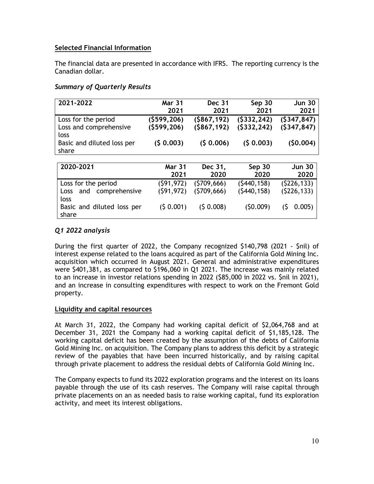# **Selected Financial Information**

The financial data are presented in accordance with IFRS. The reporting currency is the Canadian dollar.

# *Summary of Quarterly Results*

| 2021-2022                                                   | <b>Mar 31</b><br>2021      | <b>Dec 31</b><br>2021        | Sep 30<br>2021             | <b>Jun 30</b><br>2021      |
|-------------------------------------------------------------|----------------------------|------------------------------|----------------------------|----------------------------|
| Loss for the period<br>Loss and comprehensive<br>loss       | (\$599,206)<br>(5599, 206) | ( \$867, 192)<br>(\$867,192) | (5332, 242)<br>(5332, 242) | (5347, 847)<br>(5347, 847) |
| Basic and diluted loss per<br>share                         | (\$ 0.003)                 | (50.006)                     | (50.003)                   | (\$0.004)                  |
| 2020-2021                                                   |                            |                              |                            |                            |
|                                                             | <b>Mar 31</b><br>2021      | Dec 31,<br>2020              | Sep 30<br>2020             | <b>Jun 30</b><br>2020      |
| Loss for the period<br>comprehensive<br>and<br>Loss<br>loss | (\$91,972)<br>(\$91,972)   | (\$709,666)<br>(\$709,666)   | (5440, 158)<br>(5440, 158) | (\$226,133)<br>(5226, 133) |
| Basic and diluted loss per<br>share                         | (50.001)                   | (50.008)                     | (50.009)                   | (\$<br>0.005               |

# *Q1 2022 analysis*

During the first quarter of 2022, the Company recognized \$140,798 (2021 - \$nil) of interest expense related to the loans acquired as part of the California Gold Mining Inc. acquisition which occurred in August 2021. General and administrative expenditures were \$401,381, as compared to \$196,060 in Q1 2021. The increase was mainly related to an increase in investor relations spending in 2022 (\$85,000 in 2022 vs. \$nil in 2021), and an increase in consulting expenditures with respect to work on the Fremont Gold property.

# **Liquidity and capital resources**

At March 31, 2022, the Company had working capital deficit of \$2,064,768 and at December 31, 2021 the Company had a working capital deficit of \$1,185,128. The working capital deficit has been created by the assumption of the debts of California Gold Mining Inc. on acquisition. The Company plans to address this deficit by a strategic review of the payables that have been incurred historically, and by raising capital through private placement to address the residual debts of California Gold Mining Inc.

The Company expects to fund its 2022 exploration programs and the interest on its loans payable through the use of its cash reserves. The Company will raise capital through private placements on an as needed basis to raise working capital, fund its exploration activity, and meet its interest obligations.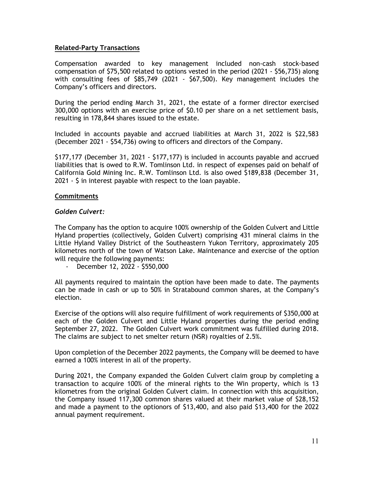### **Related-Party Transactions**

Compensation awarded to key management included non-cash stock-based compensation of \$75,500 related to options vested in the period (2021 - \$56,735) along with consulting fees of \$85,749 (2021 - \$67,500). Key management includes the Company's officers and directors.

During the period ending March 31, 2021, the estate of a former director exercised 300,000 options with an exercise price of \$0.10 per share on a net settlement basis, resulting in 178,844 shares issued to the estate.

Included in accounts payable and accrued liabilities at March 31, 2022 is \$22,583 (December 2021 - \$54,736) owing to officers and directors of the Company.

\$177,177 (December 31, 2021 - \$177,177) is included in accounts payable and accrued liabilities that is owed to R.W. Tomlinson Ltd. in respect of expenses paid on behalf of California Gold Mining Inc. R.W. Tomlinson Ltd. is also owed \$189,838 (December 31, 2021 - \$ in interest payable with respect to the loan payable.

### **Commitments**

### *Golden Culvert:*

The Company has the option to acquire 100% ownership of the Golden Culvert and Little Hyland properties (collectively, Golden Culvert) comprising 431 mineral claims in the Little Hyland Valley District of the Southeastern Yukon Territory, approximately 205 kilometres north of the town of Watson Lake. Maintenance and exercise of the option will require the following payments:

- December 12, 2022 - \$550,000

All payments required to maintain the option have been made to date. The payments can be made in cash or up to 50% in Stratabound common shares, at the Company's election.

Exercise of the options will also require fulfillment of work requirements of \$350,000 at each of the Golden Culvert and Little Hyland properties during the period ending September 27, 2022. The Golden Culvert work commitment was fulfilled during 2018. The claims are subject to net smelter return (NSR) royalties of 2.5%.

Upon completion of the December 2022 payments, the Company will be deemed to have earned a 100% interest in all of the property.

During 2021, the Company expanded the Golden Culvert claim group by completing a transaction to acquire 100% of the mineral rights to the Win property, which is 13 kilometres from the original Golden Culvert claim. In connection with this acquisition, the Company issued 117,300 common shares valued at their market value of \$28,152 and made a payment to the optionors of \$13,400, and also paid \$13,400 for the 2022 annual payment requirement.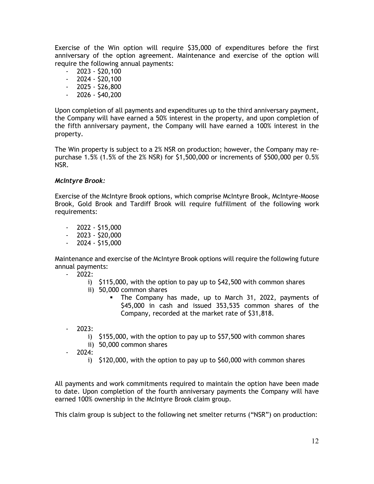Exercise of the Win option will require \$35,000 of expenditures before the first anniversary of the option agreement. Maintenance and exercise of the option will require the following annual payments:

- $-2023 520,100$
- $-2024 520,100$
- 2025 \$26,800
- $-2026 540,200$

Upon completion of all payments and expenditures up to the third anniversary payment, the Company will have earned a 50% interest in the property, and upon completion of the fifth anniversary payment, the Company will have earned a 100% interest in the property.

The Win property is subject to a 2% NSR on production; however, the Company may repurchase 1.5% (1.5% of the 2% NSR) for \$1,500,000 or increments of \$500,000 per 0.5% NSR.

# *McIntyre Brook:*

Exercise of the McIntyre Brook options, which comprise McIntyre Brook, McIntyre-Moose Brook, Gold Brook and Tardiff Brook will require fulfillment of the following work requirements:

- $-2022 515,000$
- $-2023 520,000$
- $2024 515,000$

Maintenance and exercise of the McIntyre Brook options will require the following future annual payments:

- $2022$ :
	- i) \$115,000, with the option to pay up to \$42,500 with common shares
	- ii) 50,000 common shares
		- The Company has made, up to March 31, 2022, payments of \$45,000 in cash and issued 353,535 common shares of the Company, recorded at the market rate of \$31,818.
- $2023:$ 
	- i) \$155,000, with the option to pay up to \$57,500 with common shares
	- ii) 50,000 common shares
- 2024:
	- i) \$120,000, with the option to pay up to \$60,000 with common shares

All payments and work commitments required to maintain the option have been made to date. Upon completion of the fourth anniversary payments the Company will have earned 100% ownership in the McIntyre Brook claim group.

This claim group is subject to the following net smelter returns ("NSR") on production: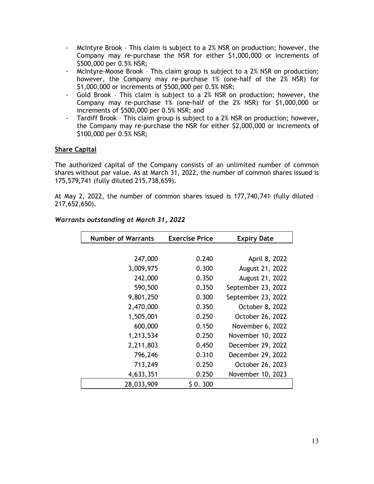- McIntyre Brook This claim is subject to a 2% NSR on production; however, the Company may re-purchase the NSR for either \$1,000,000 or increments of \$500,000 per 0.5% NSR;
- McIntyre-Moose Brook This claim group is subject to a 2% NSR on production; however, the Company may re-purchase 1% (one-half of the 2% NSR) for \$1,000,000 or increments of \$500,000 per 0.5% NSR;
- Gold Brook This claim is subject to a 2% NSR on production; however, the Company may re-purchase 1% (one-half of the 2% NSR) for \$1,000,000 or increments of \$500,000 per 0.5% NSR; and
- Tardiff Brook This claim group is subject to a 2% NSR on production; however, the Company may re-purchase the NSR for either \$2,000,000 or increments of \$100,000 per 0.5% NSR;

# **Share Capital**

The authorized capital of the Company consists of an unlimited number of common shares without par value. As at March 31, 2022, the number of common shares issued is 175,579,741 (fully diluted 215,738,659).

At May 2, 2022, the number of common shares issued is 177,740,741 (fully diluted – 217,652,650).

| <b>Number of Warrants</b> | <b>Exercise Price</b> | <b>Expiry Date</b> |
|---------------------------|-----------------------|--------------------|
|                           |                       |                    |
| 247,000                   | 0.240                 | April 8, 2022      |
| 3,009,975                 | 0.300                 | August 21, 2022    |
| 242,000                   | 0.350                 | August 21, 2022    |
| 590,500                   | 0.350                 | September 23, 2022 |
| 9,801,250                 | 0.300                 | September 23, 2022 |
| 2,470,000                 | 0.350                 | October 8, 2022    |
| 1,505,001                 | 0.250                 | October 26, 2022   |
| 600,000                   | 0.150                 | November 6, 2022   |
| 1,213,534                 | 0.250                 | November 10, 2022  |
| 2,211,803                 | 0.450                 | December 29, 2022  |
| 796,246                   | 0.310                 | December 29, 2022  |
| 713,249                   | 0.250                 | October 26, 2023   |
| 4,633,351                 | 0.250                 | November 10, 2023  |
| 28,033,909                | \$0.300               |                    |

### *Warrants outstanding at March 31, 2022*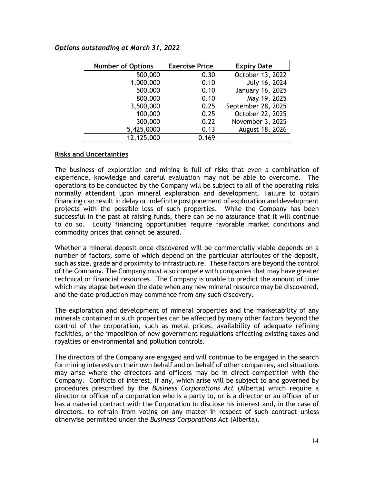# *Options outstanding at March 31, 2022*

| <b>Number of Options</b> | <b>Exercise Price</b> | <b>Expiry Date</b> |
|--------------------------|-----------------------|--------------------|
| 500,000                  | 0.30                  | October 13, 2022   |
| 1,000,000                | 0.10                  | July 16, 2024      |
| 500,000                  | 0.10                  | January 16, 2025   |
| 800,000                  | 0.10                  | May 19, 2025       |
| 3,500,000                | 0.25                  | September 28, 2025 |
| 100,000                  | 0.25                  | October 22, 2025   |
| 300,000                  | 0.22                  | November 3, 2025   |
| 5,425,0000               | 0.13                  | August 18, 2026    |
| 12,125,000               | 0.169                 |                    |

#### **Risks and Uncertainties**

The business of exploration and mining is full of risks that even a combination of experience, knowledge and careful evaluation may not be able to overcome. The operations to be conducted by the Company will be subject to all of the operating risks normally attendant upon mineral exploration and development. Failure to obtain financing can result in delay or indefinite postponement of exploration and development projects with the possible loss of such properties. While the Company has been successful in the past at raising funds, there can be no assurance that it will continue to do so. Equity financing opportunities require favorable market conditions and commodity prices that cannot be assured.

Whether a mineral deposit once discovered will be commercially viable depends on a number of factors, some of which depend on the particular attributes of the deposit, such as size, grade and proximity to infrastructure. These factors are beyond the control of the Company. The Company must also compete with companies that may have greater technical or financial resources. The Company is unable to predict the amount of time which may elapse between the date when any new mineral resource may be discovered, and the date production may commence from any such discovery.

The exploration and development of mineral properties and the marketability of any minerals contained in such properties can be affected by many other factors beyond the control of the corporation, such as metal prices, availability of adequate refining facilities, or the imposition of new government regulations affecting existing taxes and royalties or environmental and pollution controls.

The directors of the Company are engaged and will continue to be engaged in the search for mining interests on their own behalf and on behalf of other companies, and situations may arise where the directors and officers may be in direct competition with the Company. Conflicts of interest, if any, which arise will be subject to and governed by procedures prescribed by the *Business Corporations Act* (Alberta) which require a director or officer of a corporation who is a party to, or is a director or an officer of or has a material contract with the Corporation to disclose his interest and, in the case of directors, to refrain from voting on any matter in respect of such contract unless otherwise permitted under the *Business Corporations Act* (Alberta).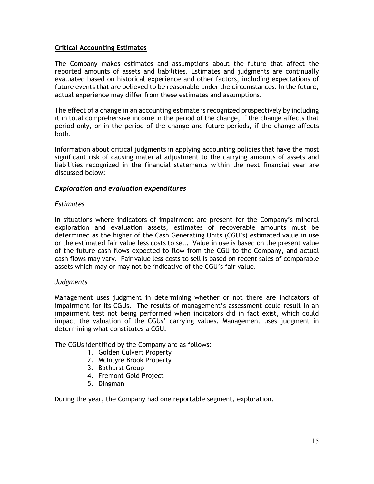### **Critical Accounting Estimates**

The Company makes estimates and assumptions about the future that affect the reported amounts of assets and liabilities. Estimates and judgments are continually evaluated based on historical experience and other factors, including expectations of future events that are believed to be reasonable under the circumstances. In the future, actual experience may differ from these estimates and assumptions.

The effect of a change in an accounting estimate is recognized prospectively by including it in total comprehensive income in the period of the change, if the change affects that period only, or in the period of the change and future periods, if the change affects both.

Information about critical judgments in applying accounting policies that have the most significant risk of causing material adjustment to the carrying amounts of assets and liabilities recognized in the financial statements within the next financial year are discussed below:

# *Exploration and evaluation expenditures*

#### *Estimates*

In situations where indicators of impairment are present for the Company's mineral exploration and evaluation assets, estimates of recoverable amounts must be determined as the higher of the Cash Generating Units (CGU's) estimated value in use or the estimated fair value less costs to sell. Value in use is based on the present value of the future cash flows expected to flow from the CGU to the Company, and actual cash flows may vary. Fair value less costs to sell is based on recent sales of comparable assets which may or may not be indicative of the CGU's fair value.

#### *Judgments*

Management uses judgment in determining whether or not there are indicators of impairment for its CGUs. The results of management's assessment could result in an impairment test not being performed when indicators did in fact exist, which could impact the valuation of the CGUs' carrying values. Management uses judgment in determining what constitutes a CGU.

The CGUs identified by the Company are as follows:

- 1. Golden Culvert Property
- 2. McIntyre Brook Property
- 3. Bathurst Group
- 4. Fremont Gold Project
- 5. Dingman

During the year, the Company had one reportable segment, exploration.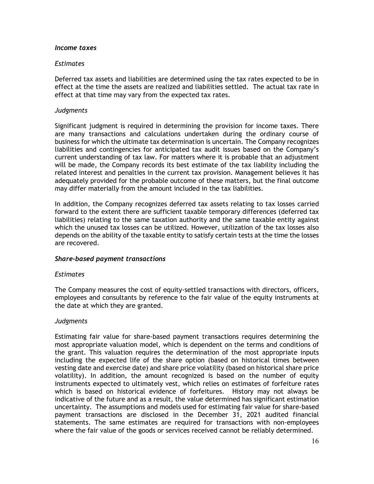#### *Income taxes*

#### *Estimates*

Deferred tax assets and liabilities are determined using the tax rates expected to be in effect at the time the assets are realized and liabilities settled. The actual tax rate in effect at that time may vary from the expected tax rates.

#### *Judgments*

Significant judgment is required in determining the provision for income taxes. There are many transactions and calculations undertaken during the ordinary course of business for which the ultimate tax determination is uncertain. The Company recognizes liabilities and contingencies for anticipated tax audit issues based on the Company's current understanding of tax law. For matters where it is probable that an adjustment will be made, the Company records its best estimate of the tax liability including the related interest and penalties in the current tax provision. Management believes it has adequately provided for the probable outcome of these matters, but the final outcome may differ materially from the amount included in the tax liabilities.

In addition, the Company recognizes deferred tax assets relating to tax losses carried forward to the extent there are sufficient taxable temporary differences (deferred tax liabilities) relating to the same taxation authority and the same taxable entity against which the unused tax losses can be utilized. However, utilization of the tax losses also depends on the ability of the taxable entity to satisfy certain tests at the time the losses are recovered.

#### *Share-based payment transactions*

#### *Estimates*

The Company measures the cost of equity-settled transactions with directors, officers, employees and consultants by reference to the fair value of the equity instruments at the date at which they are granted.

#### *Judgments*

Estimating fair value for share-based payment transactions requires determining the most appropriate valuation model, which is dependent on the terms and conditions of the grant. This valuation requires the determination of the most appropriate inputs including the expected life of the share option (based on historical times between vesting date and exercise date) and share price volatility (based on historical share price volatility). In addition, the amount recognized is based on the number of equity instruments expected to ultimately vest, which relies on estimates of forfeiture rates which is based on historical evidence of forfeitures. History may not always be indicative of the future and as a result, the value determined has significant estimation uncertainty. The assumptions and models used for estimating fair value for share-based payment transactions are disclosed in the December 31, 2021 audited financial statements. The same estimates are required for transactions with non-employees where the fair value of the goods or services received cannot be reliably determined.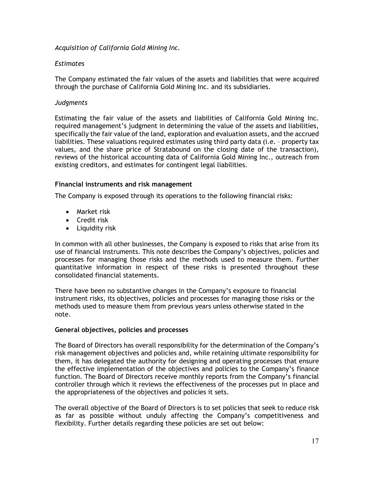*Acquisition of California Gold Mining Inc.*

# *Estimates*

The Company estimated the fair values of the assets and liabilities that were acquired through the purchase of California Gold Mining Inc. and its subsidiaries.

### *Judgments*

Estimating the fair value of the assets and liabilities of California Gold Mining Inc. required management's judgment in determining the value of the assets and liabilities, specifically the fair value of the land, exploration and evaluation assets, and the accrued liabilities. These valuations required estimates using third party data (i.e. – property tax values, and the share price of Stratabound on the closing date of the transaction), reviews of the historical accounting data of California Gold Mining Inc., outreach from existing creditors, and estimates for contingent legal liabilities.

#### **Financial instruments and risk management**

The Company is exposed through its operations to the following financial risks:

- Market risk
- Credit risk
- Liquidity risk

In common with all other businesses, the Company is exposed to risks that arise from its use of financial instruments. This note describes the Company's objectives, policies and processes for managing those risks and the methods used to measure them. Further quantitative information in respect of these risks is presented throughout these consolidated financial statements.

There have been no substantive changes in the Company's exposure to financial instrument risks, its objectives, policies and processes for managing those risks or the methods used to measure them from previous years unless otherwise stated in the note.

# **General objectives, policies and processes**

The Board of Directors has overall responsibility for the determination of the Company's risk management objectives and policies and, while retaining ultimate responsibility for them, it has delegated the authority for designing and operating processes that ensure the effective implementation of the objectives and policies to the Company's finance function. The Board of Directors receive monthly reports from the Company's financial controller through which it reviews the effectiveness of the processes put in place and the appropriateness of the objectives and policies it sets.

The overall objective of the Board of Directors is to set policies that seek to reduce risk as far as possible without unduly affecting the Company's competitiveness and flexibility. Further details regarding these policies are set out below: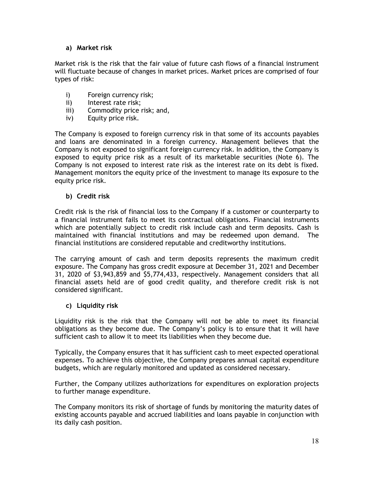# **a) Market risk**

Market risk is the risk that the fair value of future cash flows of a financial instrument will fluctuate because of changes in market prices. Market prices are comprised of four types of risk:

- i) Foreign currency risk;
- ii) Interest rate risk;
- iii) Commodity price risk; and,
- iv) Equity price risk.

The Company is exposed to foreign currency risk in that some of its accounts payables and loans are denominated in a foreign currency. Management believes that the Company is not exposed to significant foreign currency risk. In addition, the Company is exposed to equity price risk as a result of its marketable securities (Note 6). The Company is not exposed to interest rate risk as the interest rate on its debt is fixed. Management monitors the equity price of the investment to manage its exposure to the equity price risk.

# **b) Credit risk**

Credit risk is the risk of financial loss to the Company if a customer or counterparty to a financial instrument fails to meet its contractual obligations. Financial instruments which are potentially subject to credit risk include cash and term deposits. Cash is maintained with financial institutions and may be redeemed upon demand. The financial institutions are considered reputable and creditworthy institutions.

The carrying amount of cash and term deposits represents the maximum credit exposure. The Company has gross credit exposure at December 31, 2021 and December 31, 2020 of \$3,943,859 and \$5,774,433, respectively. Management considers that all financial assets held are of good credit quality, and therefore credit risk is not considered significant.

# **c) Liquidity risk**

Liquidity risk is the risk that the Company will not be able to meet its financial obligations as they become due. The Company's policy is to ensure that it will have sufficient cash to allow it to meet its liabilities when they become due.

Typically, the Company ensures that it has sufficient cash to meet expected operational expenses. To achieve this objective, the Company prepares annual capital expenditure budgets, which are regularly monitored and updated as considered necessary.

Further, the Company utilizes authorizations for expenditures on exploration projects to further manage expenditure.

The Company monitors its risk of shortage of funds by monitoring the maturity dates of existing accounts payable and accrued liabilities and loans payable in conjunction with its daily cash position.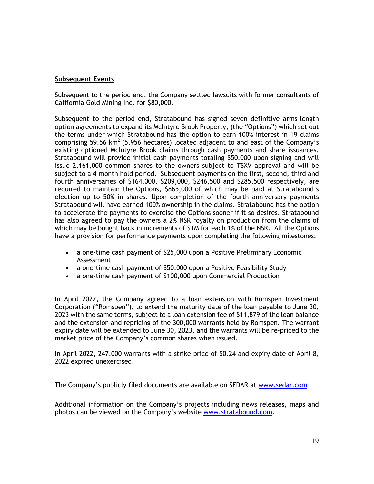# **Subsequent Events**

Subsequent to the period end, the Company settled lawsuits with former consultants of California Gold Mining Inc. for \$80,000.

Subsequent to the period end, Stratabound has signed seven definitive arms-length option agreements to expand its McIntyre Brook Property, (the "Options") which set out the terms under which Stratabound has the option to earn 100% interest in 19 claims comprising 59.56 km<sup>2</sup> (5,956 hectares) located adjacent to and east of the Company's existing optioned McIntyre Brook claims through cash payments and share issuances. Stratabound will provide initial cash payments totaling \$50,000 upon signing and will issue 2,161,000 common shares to the owners subject to TSXV approval and will be subject to a 4-month hold period. Subsequent payments on the first, second, third and fourth anniversaries of \$164,000, \$209,000, \$246,500 and \$285,500 respectively, are required to maintain the Options, \$865,000 of which may be paid at Stratabound's election up to 50% in shares. Upon completion of the fourth anniversary payments Stratabound will have earned 100% ownership in the claims. Stratabound has the option to accelerate the payments to exercise the Options sooner if it so desires. Stratabound has also agreed to pay the owners a 2% NSR royalty on production from the claims of which may be bought back in increments of \$1M for each 1% of the NSR. All the Options have a provision for performance payments upon completing the following milestones:

- a one-time cash payment of \$25,000 upon a Positive Preliminary Economic Assessment
- a one-time cash payment of \$50,000 upon a Positive Feasibility Study
- a one-time cash payment of \$100,000 upon Commercial Production

In April 2022, the Company agreed to a loan extension with Romspen Investment Corporation ("Romspen"), to extend the maturity date of the loan payable to June 30, 2023 with the same terms, subject to a loan extension fee of \$11,879 of the loan balance and the extension and repricing of the 300,000 warrants held by Romspen. The warrant expiry date will be extended to June 30, 2023, and the warrants will be re-priced to the market price of the Company's common shares when issued.

In April 2022, 247,000 warrants with a strike price of \$0.24 and expiry date of April 8, 2022 expired unexercised.

The Company's publicly filed documents are available on SEDAR at [www.sedar.com](http://www.sedar.com/)

Additional information on the Company's projects including news releases, maps and photos can be viewed on the Company's website [www.stratabound.com.](http://www.stratabound.com/)